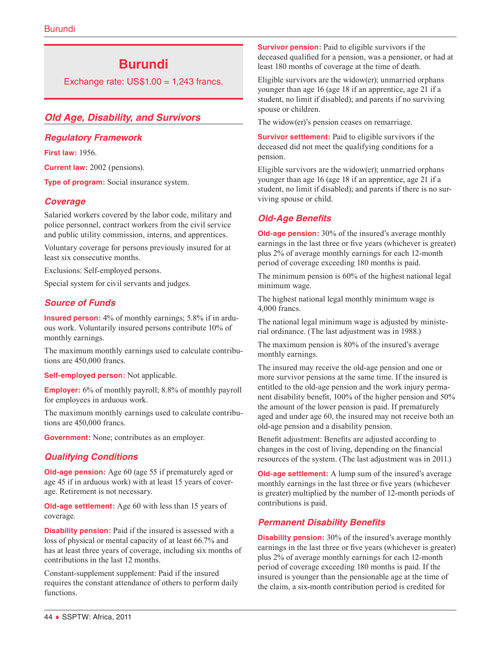# **Burundi**

Exchange rate:  $US$1.00 = 1,243$  francs.

# *Old Age, Disability, and Survivors*

# *Regulatory Framework*

**First law:** 1956.

**Current law:** 2002 (pensions).

**Type of program:** Social insurance system.

# *Coverage*

Salaried workers covered by the labor code, military and police personnel, contract workers from the civil service and public utility commission, interns, and apprentices.

Voluntary coverage for persons previously insured for at least six consecutive months.

Exclusions: Self-employed persons.

Special system for civil servants and judges.

# *Source of Funds*

**Insured person:** 4% of monthly earnings; 5.8% if in arduous work. Voluntarily insured persons contribute 10% of monthly earnings.

The maximum monthly earnings used to calculate contributions are 450,000 francs.

**Self-employed person:** Not applicable.

**Employer:** 6% of monthly payroll; 8.8% of monthly payroll for employees in arduous work.

The maximum monthly earnings used to calculate contributions are 450,000 francs.

**Government:** None; contributes as an employer.

# *Qualifying Conditions*

**Old-age pension:** Age 60 (age 55 if prematurely aged or age 45 if in arduous work) with at least 15 years of coverage. Retirement is not necessary.

**Old-age settlement:** Age 60 with less than 15 years of coverage.

**Disability pension:** Paid if the insured is assessed with a loss of physical or mental capacity of at least 66.7% and has at least three years of coverage, including six months of contributions in the last 12 months.

Constant-supplement supplement: Paid if the insured requires the constant attendance of others to perform daily functions.

**Survivor pension:** Paid to eligible survivors if the deceased qualified for a pension, was a pensioner, or had at least 180 months of coverage at the time of death.

Eligible survivors are the widow(er); unmarried orphans younger than age 16 (age 18 if an apprentice, age 21 if a student, no limit if disabled); and parents if no surviving spouse or children.

The widow(er)'s pension ceases on remarriage.

**Survivor settlement:** Paid to eligible survivors if the deceased did not meet the qualifying conditions for a pension.

Eligible survivors are the widow(er); unmarried orphans younger than age 16 (age 18 if an apprentice, age 21 if a student, no limit if disabled); and parents if there is no surviving spouse or child.

# *Old-Age Benefits*

**Old-age pension:** 30% of the insured's average monthly earnings in the last three or five years (whichever is greater) plus 2% of average monthly earnings for each 12-month period of coverage exceeding 180 months is paid.

The minimum pension is 60% of the highest national legal minimum wage.

The highest national legal monthly minimum wage is 4,000 francs.

The national legal minimum wage is adjusted by ministerial ordinance. (The last adjustment was in 1988.)

The maximum pension is 80% of the insured's average monthly earnings.

The insured may receive the old-age pension and one or more survivor pensions at the same time. If the insured is entitled to the old-age pension and the work injury permanent disability benefit, 100% of the higher pension and 50% the amount of the lower pension is paid. If prematurely aged and under age 60, the insured may not receive both an old-age pension and a disability pension.

Benefit adjustment: Benefits are adjusted according to changes in the cost of living, depending on the financial resources of the system. (The last adjustment was in 2011.)

**Old-age settlement:** A lump sum of the insured's average monthly earnings in the last three or five years (whichever is greater) multiplied by the number of 12-month periods of contributions is paid.

# *Permanent Disability Benefits*

**Disability pension:** 30% of the insured's average monthly earnings in the last three or five years (whichever is greater) plus 2% of average monthly earnings for each 12-month period of coverage exceeding 180 months is paid. If the insured is younger than the pensionable age at the time of the claim, a six-month contribution period is credited for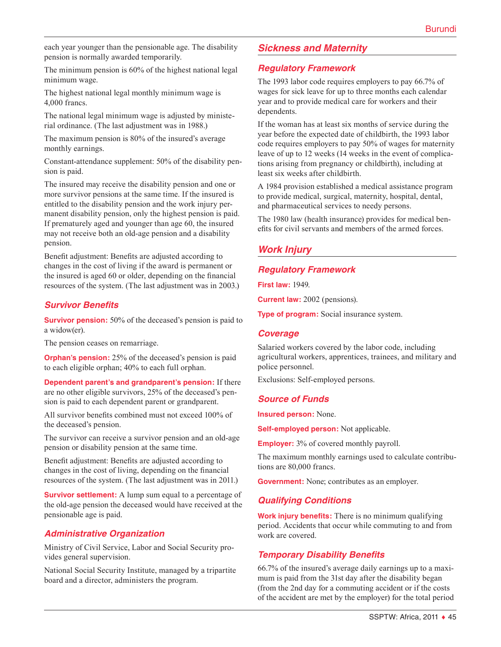each year younger than the pensionable age. The disability pension is normally awarded temporarily.

The minimum pension is 60% of the highest national legal minimum wage.

The highest national legal monthly minimum wage is 4,000 francs.

The national legal minimum wage is adjusted by ministerial ordinance. (The last adjustment was in 1988.)

The maximum pension is 80% of the insured's average monthly earnings.

Constant-attendance supplement: 50% of the disability pension is paid.

The insured may receive the disability pension and one or more survivor pensions at the same time. If the insured is entitled to the disability pension and the work injury permanent disability pension, only the highest pension is paid. If prematurely aged and younger than age 60, the insured may not receive both an old-age pension and a disability pension.

Benefit adjustment: Benefits are adjusted according to changes in the cost of living if the award is permanent or the insured is aged 60 or older, depending on the financial resources of the system. (The last adjustment was in 2003.)

### *Survivor Benefits*

**Survivor pension:** 50% of the deceased's pension is paid to a widow(er).

The pension ceases on remarriage.

**Orphan's pension:** 25% of the deceased's pension is paid to each eligible orphan; 40% to each full orphan.

**Dependent parent's and grandparent's pension:** If there are no other eligible survivors, 25% of the deceased's pension is paid to each dependent parent or grandparent.

All survivor benefits combined must not exceed 100% of the deceased's pension.

The survivor can receive a survivor pension and an old-age pension or disability pension at the same time.

Benefit adjustment: Benefits are adjusted according to changes in the cost of living, depending on the financial resources of the system. (The last adjustment was in 2011.)

**Survivor settlement:** A lump sum equal to a percentage of the old-age pension the deceased would have received at the pensionable age is paid.

#### *Administrative Organization*

Ministry of Civil Service, Labor and Social Security provides general supervision.

National Social Security Institute, managed by a tripartite board and a director, administers the program.

# *Sickness and Maternity*

#### *Regulatory Framework*

The 1993 labor code requires employers to pay 66.7% of wages for sick leave for up to three months each calendar year and to provide medical care for workers and their dependents.

If the woman has at least six months of service during the year before the expected date of childbirth, the 1993 labor code requires employers to pay 50% of wages for maternity leave of up to 12 weeks (14 weeks in the event of complications arising from pregnancy or childbirth), including at least six weeks after childbirth.

A 1984 provision established a medical assistance program to provide medical, surgical, maternity, hospital, dental, and pharmaceutical services to needy persons.

The 1980 law (health insurance) provides for medical benefits for civil servants and members of the armed forces.

# *Work Injury*

#### *Regulatory Framework*

**First law:** 1949.

**Current law:** 2002 (pensions).

**Type of program:** Social insurance system.

#### *Coverage*

Salaried workers covered by the labor code, including agricultural workers, apprentices, trainees, and military and police personnel.

Exclusions: Self-employed persons.

#### *Source of Funds*

**Insured person:** None.

**Self-employed person:** Not applicable.

**Employer:** 3% of covered monthly payroll.

The maximum monthly earnings used to calculate contributions are 80,000 francs.

**Government:** None; contributes as an employer.

# *Qualifying Conditions*

**Work injury benefits:** There is no minimum qualifying period. Accidents that occur while commuting to and from work are covered.

# *Temporary Disability Benefits*

66.7% of the insured's average daily earnings up to a maximum is paid from the 31st day after the disability began (from the 2nd day for a commuting accident or if the costs of the accident are met by the employer) for the total period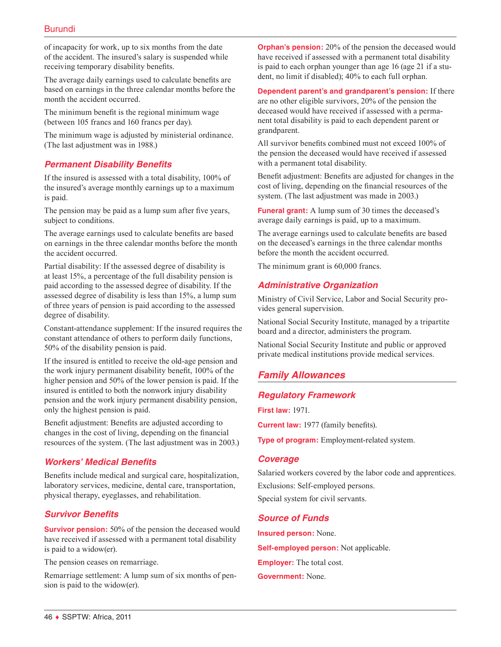of incapacity for work, up to six months from the date of the accident. The insured's salary is suspended while receiving temporary disability benefits.

The average daily earnings used to calculate benefits are based on earnings in the three calendar months before the month the accident occurred.

The minimum benefit is the regional minimum wage (between 105 francs and 160 francs per day).

The minimum wage is adjusted by ministerial ordinance. (The last adjustment was in 1988.)

# *Permanent Disability Benefits*

If the insured is assessed with a total disability, 100% of the insured's average monthly earnings up to a maximum is paid.

The pension may be paid as a lump sum after five years, subject to conditions.

The average earnings used to calculate benefits are based on earnings in the three calendar months before the month the accident occurred.

Partial disability: If the assessed degree of disability is at least 15%, a percentage of the full disability pension is paid according to the assessed degree of disability. If the assessed degree of disability is less than 15%, a lump sum of three years of pension is paid according to the assessed degree of disability.

Constant-attendance supplement: If the insured requires the constant attendance of others to perform daily functions, 50% of the disability pension is paid.

If the insured is entitled to receive the old-age pension and the work injury permanent disability benefit, 100% of the higher pension and 50% of the lower pension is paid. If the insured is entitled to both the nonwork injury disability pension and the work injury permanent disability pension, only the highest pension is paid.

Benefit adjustment: Benefits are adjusted according to changes in the cost of living, depending on the financial resources of the system. (The last adjustment was in 2003.)

# *Workers' Medical Benefits*

Benefits include medical and surgical care, hospitalization, laboratory services, medicine, dental care, transportation, physical therapy, eyeglasses, and rehabilitation.

# *Survivor Benefits*

**Survivor pension:** 50% of the pension the deceased would have received if assessed with a permanent total disability is paid to a widow(er).

The pension ceases on remarriage.

Remarriage settlement: A lump sum of six months of pension is paid to the widow(er).

**Orphan's pension:** 20% of the pension the deceased would have received if assessed with a permanent total disability is paid to each orphan younger than age 16 (age 21 if a student, no limit if disabled); 40% to each full orphan.

**Dependent parent's and grandparent's pension:** If there are no other eligible survivors, 20% of the pension the deceased would have received if assessed with a permanent total disability is paid to each dependent parent or grandparent.

All survivor benefits combined must not exceed 100% of the pension the deceased would have received if assessed with a permanent total disability.

Benefit adjustment: Benefits are adjusted for changes in the cost of living, depending on the financial resources of the system. (The last adjustment was made in 2003.)

**Funeral grant:** A lump sum of 30 times the deceased's average daily earnings is paid, up to a maximum.

The average earnings used to calculate benefits are based on the deceased's earnings in the three calendar months before the month the accident occurred.

The minimum grant is 60,000 francs.

# *Administrative Organization*

Ministry of Civil Service, Labor and Social Security provides general supervision.

National Social Security Institute, managed by a tripartite board and a director, administers the program.

National Social Security Institute and public or approved private medical institutions provide medical services.

# *Family Allowances*

# *Regulatory Framework*

**First law:** 1971.

**Current law:** 1977 (family benefits).

**Type of program:** Employment-related system.

#### *Coverage*

Salaried workers covered by the labor code and apprentices. Exclusions: Self-employed persons. Special system for civil servants.

#### *Source of Funds*

**Insured person:** None. **Self-employed person:** Not applicable. **Employer:** The total cost. **Government:** None.